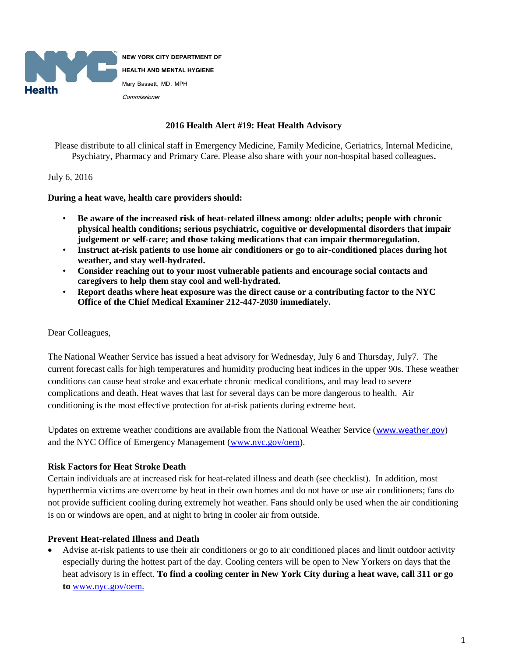

**NEW YORK CITY DEPARTMENT OF HEALTH AND MENTAL HYGIENE** Mary Bassett, MD, MPH Commissioner

#### **2016 Health Alert #19: Heat Health Advisory**

Please distribute to all clinical staff in Emergency Medicine, Family Medicine, Geriatrics, Internal Medicine, Psychiatry, Pharmacy and Primary Care. Please also share with your non-hospital based colleagues**.** 

#### July 6, 2016

**During a heat wave, health care providers should:**

- **Be aware of the increased risk of heat-related illness among: older adults; people with chronic physical health conditions; serious psychiatric, cognitive or developmental disorders that impair judgement or self-care; and those taking medications that can impair thermoregulation.**
- **Instruct at-risk patients to use home air conditioners or go to air-conditioned places during hot weather, and stay well-hydrated.**
- **Consider reaching out to your most vulnerable patients and encourage social contacts and caregivers to help them stay cool and well-hydrated.**
- **Report deaths where heat exposure was the direct cause or a contributing factor to the NYC Office of the Chief Medical Examiner 212-447-2030 immediately.**

### Dear Colleagues,

The National Weather Service has issued a heat advisory for Wednesday, July 6 and Thursday, July7. The current forecast calls for high temperatures and humidity producing heat indices in the upper 90s. These weather conditions can cause heat stroke and exacerbate chronic medical conditions, and may lead to severe complications and death. Heat waves that last for several days can be more dangerous to health. Air conditioning is the most effective protection for at-risk patients during extreme heat.

Updates on extreme weather conditions are available from the National Weather Service ([www.weather.gov](http://www.weather.gov/)) and the NYC Office of Emergency Management [\(www.nyc.gov/oem\)](http://www.nyc.gov/oem).

# **Risk Factors for Heat Stroke Death**

Certain individuals are at increased risk for heat-related illness and death (see checklist). In addition, most hyperthermia victims are overcome by heat in their own homes and do not have or use air conditioners; fans do not provide sufficient cooling during extremely hot weather. Fans should only be used when the air conditioning is on or windows are open, and at night to bring in cooler air from outside.

# **Prevent Heat-related Illness and Death**

 Advise at-risk patients to use their air conditioners or go to air conditioned places and limit outdoor activity especially during the hottest part of the day. Cooling centers will be open to New Yorkers on days that the heat advisory is in effect. **To find a cooling center in New York City during a heat wave, call 311 or go to** [www.nyc.gov/oem.](http://www.nyc.gov/oem.2)